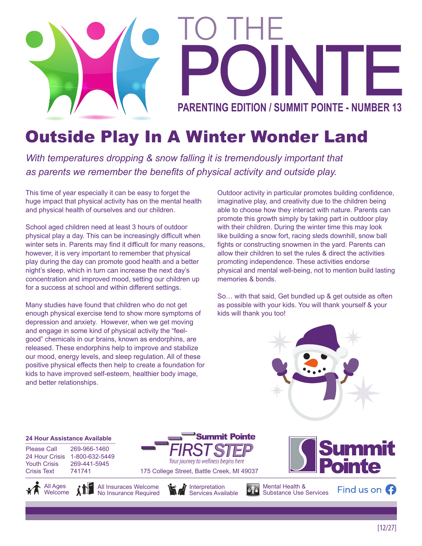

## Outside Play In A Winter Wonder Land

*With temperatures dropping & snow falling it is tremendously important that as parents we remember the benefits of physical activity and outside play.*

This time of year especially it can be easy to forget the huge impact that physical activity has on the mental health and physical health of ourselves and our children.

School aged children need at least 3 hours of outdoor physical play a day. This can be increasingly difficult when winter sets in. Parents may find it difficult for many reasons, however, it is very important to remember that physical play during the day can promote good health and a better night's sleep, which in turn can increase the next day's concentration and improved mood, setting our children up for a success at school and within different settings.

Many studies have found that children who do not get enough physical exercise tend to show more symptoms of depression and anxiety. However, when we get moving and engage in some kind of physical activity the "feelgood" chemicals in our brains, known as endorphins, are released. These endorphins help to improve and stabilize our mood, energy levels, and sleep regulation. All of these positive physical effects then help to create a foundation for kids to have improved self-esteem, healthier body image, and better relationships.

Outdoor activity in particular promotes building confidence, imaginative play, and creativity due to the children being able to choose how they interact with nature. Parents can promote this growth simply by taking part in outdoor play with their children. During the winter time this may look like building a snow fort, racing sleds downhill, snow ball fights or constructing snowmen in the yard. Parents can allow their children to set the rules & direct the activities promoting independence. These activities endorse physical and mental well-being, not to mention build lasting memories & bonds.

So… with that said, Get bundled up & get outside as often as possible with your kids. You will thank yourself & your kids will thank you too!



#### **24 Hour Assistance Available**

Please Call 269-966-1460 24 Hour Crisis 1-800-632-5449 Youth Crisis 269-441-5945 Crisis Text 741741







Your journey to wellness begins here

Services Available

**Summit Pointe** 



Mental Health & Substance Use Services

Find us on  $\Omega$